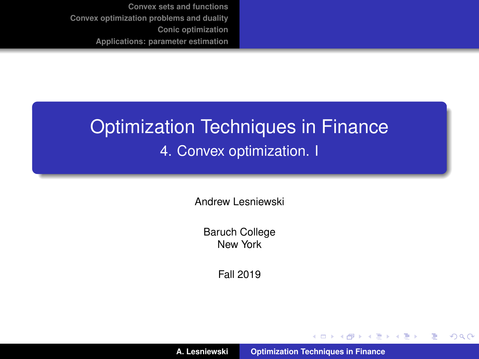# <span id="page-0-0"></span>Optimization Techniques in Finance 4. Convex optimization. I

Andrew Lesniewski

Baruch College New York

Fall 2019

**A. Lesniewski [Optimization Techniques in Finance](#page-72-0)**

イロメ イ部メ イ君メ イ君メー

 $299$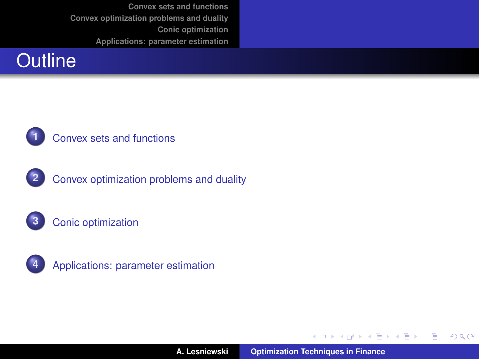









**A. Lesniewski [Optimization Techniques in Finance](#page-0-0)**

イロメ イ部メ イヨメ イヨメー

 $299$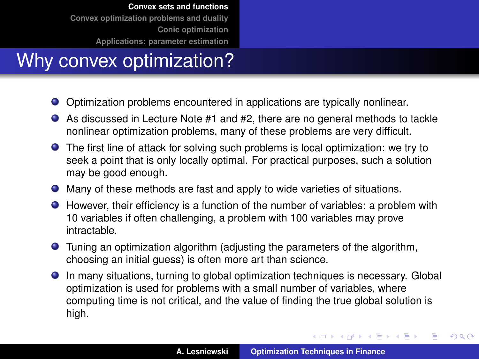# <span id="page-2-0"></span>Why convex optimization?

- Optimization problems encountered in applications are typically nonlinear.
- As discussed in Lecture Note #1 and #2, there are no general methods to tackle nonlinear optimization problems, many of these problems are very difficult.
- The first line of attack for solving such problems is local optimization: we try to seek a point that is only locally optimal. For practical purposes, such a solution may be good enough.
- Many of these methods are fast and apply to wide varieties of situations.
- However, their efficiency is a function of the number of variables: a problem with 10 variables if often challenging, a problem with 100 variables may prove intractable.
- Tuning an optimization algorithm (adjusting the parameters of the algorithm, choosing an initial guess) is often more art than science.
- In many situations, turning to global optimization techniques is necessary. Global optimization is used for problems with a small number of variables, where computing time is not critical, and the value of finding the true global solution is high.

イロメ イ部メ イ君メ イ君メー

 $299$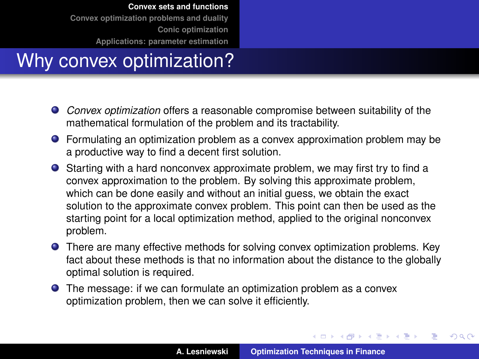# Why convex optimization?

- *Convex optimization* offers a reasonable compromise between suitability of the mathematical formulation of the problem and its tractability.
- Formulating an optimization problem as a convex approximation problem may be a productive way to find a decent first solution.
- Starting with a hard nonconvex approximate problem, we may first try to find a convex approximation to the problem. By solving this approximate problem, which can be done easily and without an initial guess, we obtain the exact solution to the approximate convex problem. This point can then be used as the starting point for a local optimization method, applied to the original nonconvex problem.
- **•** There are many effective methods for solving convex optimization problems. Key fact about these methods is that no information about the distance to the globally optimal solution is required.
- The message: if we can formulate an optimization problem as a convex optimization problem, then we can solve it efficiently.

イロメ イ部メ イ君メ イ君メー

 $299$ 

Þ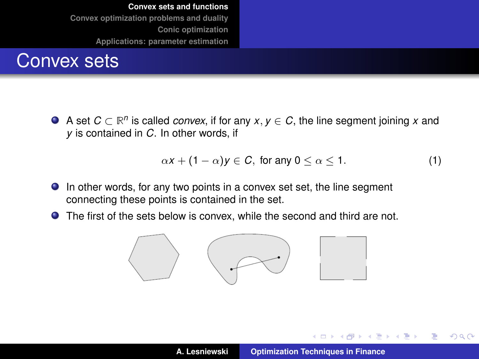

A set  $C \subset \mathbb{R}^n$  is called *convex*, if for any  $x, y \in C$ , the line segment joining  $x$  and *y* is contained in *C*. In other words, if

$$
\alpha x + (1 - \alpha) y \in C, \text{ for any } 0 \le \alpha \le 1. \tag{1}
$$

- In other words, for any two points in a convex set set, the line segment connecting these points is contained in the set.
- The first of the sets below is convex, while the second and third are not.



イロメ イ部メ イ君メ イ君メー

 $299$ 

Þ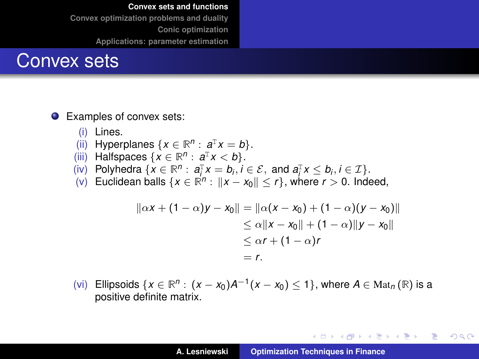### Convex sets

● Examples of convex sets:

- (i) Lines.
- (ii) Hyperplanes  $\{x \in \mathbb{R}^n : a^T x = b\}.$
- (iii) Halfspaces  $\{x \in \mathbb{R}^n : a^T x < b\}.$
- (iv) Polyhedra  $\{x \in \mathbb{R}^n : a_i^T x = b_i, i \in \mathcal{E}, \text{ and } a_i^T x \leq b_i, i \in \mathcal{I}\}.$
- (v) Euclidean balls  $\{x \in \mathbb{R}^n : ||x x_0|| \le r\}$ , where  $r > 0$ . Indeed,

$$
||\alpha x + (1 - \alpha)y - x_0|| = ||\alpha(x - x_0) + (1 - \alpha)(y - x_0)||
$$
  
\n
$$
\leq \alpha ||x - x_0|| + (1 - \alpha)||y - x_0||
$$
  
\n
$$
\leq \alpha r + (1 - \alpha)r
$$
  
\n
$$
= r.
$$

(vi) Ellipsoids {*x* ∈ ℝ<sup>*n*</sup> :  $(x - x_0)A^{-1}(x - x_0)$  ≤ 1}, where  $A \in Mat_n(\mathbb{R})$  is a positive definite matrix.

イロメ イ部メ イヨメ イヨメー

重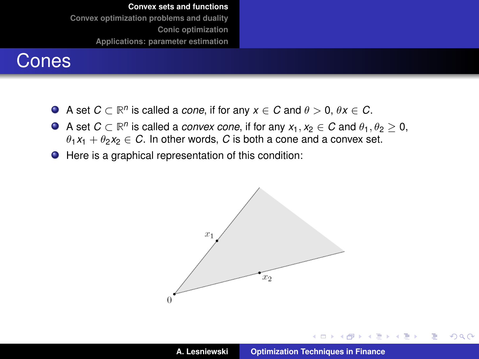### Cones

- A set  $C \subset \mathbb{R}^n$  is called a *cone*, if for any  $x \in C$  and  $\theta > 0$ ,  $\theta x \in C$ .
- A set  $C \subset \mathbb{R}^n$  is called a *convex cone*, if for any  $x_1, x_2 \in C$  and  $\theta_1, \theta_2 \geq 0$ ,  $\theta_1 x_1 + \theta_2 x_2 \in C$ . In other words, C is both a cone and a convex set.
- Here is a graphical representation of this condition:



イロメ イ部メ イヨメ イヨメー

 $299$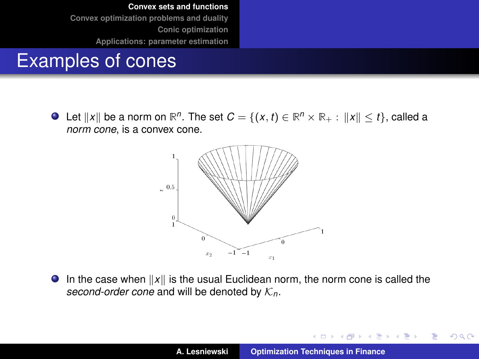## Examples of cones

Let  $\|x\|$  be a norm on  $\mathbb{R}^n$ . The set  $C = \{(x, t) \in \mathbb{R}^n \times \mathbb{R}_+ : \|x\| \leq t\},$  called a *norm cone*, is a convex cone.



 $\bullet$  In the case when  $||x||$  is the usual Euclidean norm, the norm cone is called the *second-order cone* and will be denoted by  $K_n$ .

イロメ イ部メ イ君メ イ君メー

 $299$ 

Þ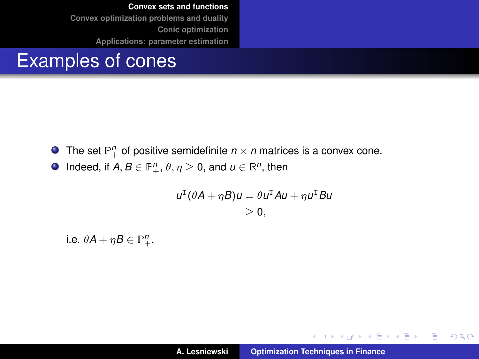### Examples of cones

- The set  $\mathbb{P}^n_+$  of positive semidefinite  $n \times n$  matrices is a convex cone.
- Indeed, if  $A, B \in \mathbb{P}^n_+, \theta, \eta \geq 0$ , and  $u \in \mathbb{R}^n$ , then

$$
u^{T}(\theta A + \eta B)u = \theta u^{T}Au + \eta u^{T}Bu
$$
  
\n
$$
\geq 0,
$$

i.e.  $\theta A + \eta B \in \mathbb{P}^n_+.$ 

イロメ イ団メ イヨメ イヨメー

 $299$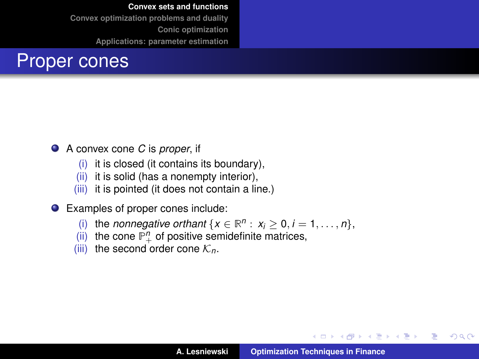

- A convex cone *C* is *proper*, if
	- (i) it is closed (it contains its boundary),
	- (ii) it is solid (has a nonempty interior),
	- (iii) it is pointed (it does not contain a line.)
- Examples of proper cones include:
	- (i) the *nonnegative orthant*  $\{x \in \mathbb{R}^n : x_i \geq 0, i = 1, \ldots, n\},\$
	- (ii) the cone  $\mathbb{P}^n_+$  of positive semidefinite matrices,
	- (iii) the second order cone  $\mathcal{K}_n$ .

イロメ イ部メ イヨメ イヨメー

 $299$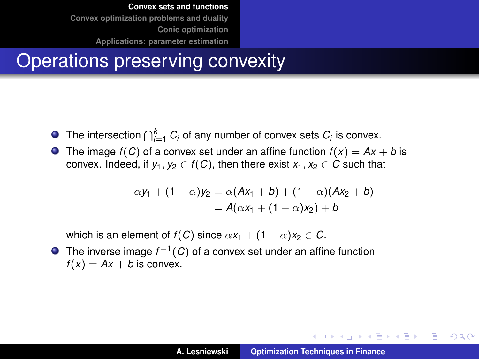### Operations preserving convexity

- The intersection  $\bigcap_{i=1}^k C_i$  of any number of convex sets  $C_i$  is convex.
- **O** The image  $f(C)$  of a convex set under an affine function  $f(x) = Ax + b$  is convex. Indeed, if  $y_1, y_2 \in f(C)$ , then there exist  $x_1, x_2 \in C$  such that

$$
\alpha y_1 + (1 - \alpha) y_2 = \alpha (Ax_1 + b) + (1 - \alpha) (Ax_2 + b) = A(\alpha x_1 + (1 - \alpha) x_2) + b
$$

which is an element of  $f(C)$  since  $\alpha x_1 + (1 - \alpha)x_2 \in C$ .

The inverse image  $f^{-1}(C)$  of a convex set under an affine function  $f(x) = Ax + b$  is convex.

イロメ イ団メ イヨメ イヨメー

÷.  $2Q$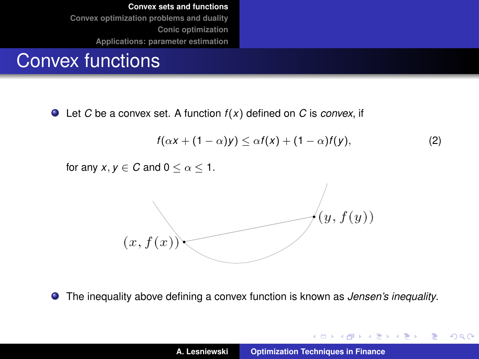### Convex functions

Let *C* be a convex set. A function *f* (*x*) defined on *C* is *convex*, if

$$
f(\alpha x + (1 - \alpha)y) \leq \alpha f(x) + (1 - \alpha)f(y), \qquad (2)
$$

for any  $x, y \in C$  and  $0 \leq \alpha \leq 1$ .



The inequality above defining a convex function is known as *Jensen's inequality*.

イロメ イ団メ イヨメ イヨメー

 $299$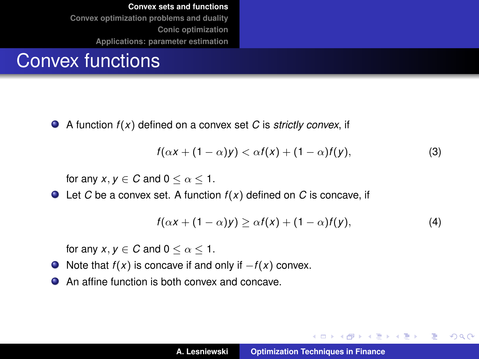## Convex functions

 $\bullet$ A function *f* (*x*) defined on a convex set *C* is *strictly convex*, if

$$
f(\alpha x + (1 - \alpha)y) < \alpha f(x) + (1 - \alpha)f(y),\tag{3}
$$

for any  $x, y \in C$  and  $0 \leq \alpha \leq 1$ .

 $\bullet$  Let *C* be a convex set. A function  $f(x)$  defined on *C* is concave, if

$$
f(\alpha x + (1 - \alpha)y) \geq \alpha f(x) + (1 - \alpha)f(y), \tag{4}
$$

イロメ イ団メ イヨメ イヨメー

重

 $298$ 

for any  $x, y \in C$  and  $0 \leq \alpha \leq 1$ .

- $\bullet$  Note that *f*(*x*) is concave if and only if  $-f(x)$  convex.
- An affine function is both convex and concave.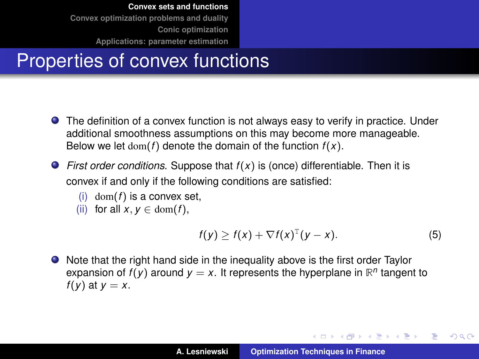# Properties of convex functions

- The definition of a convex function is not always easy to verify in practice. Under additional smoothness assumptions on this may become more manageable. Below we let  $dom(f)$  denote the domain of the function  $f(x)$ .
- *First order conditions.* Suppose that *f* (*x*) is (once) differentiable. Then it is convex if and only if the following conditions are satisfied:
	- (i) dom( $f$ ) is a convex set.
	- (ii) for all  $x, y \in \text{dom}(f)$ ,

$$
f(y) \geq f(x) + \nabla f(x)^{\mathrm{T}}(y - x). \tag{5}
$$

イロメ イ部メ イヨメ イヨメー

 $299$ 

Þ

Note that the right hand side in the inequality above is the first order Taylor expansion of  $f(y)$  around  $y = x$ . It represents the hyperplane in  $\mathbb{R}^n$  tangent to  $f(v)$  at  $v = x$ .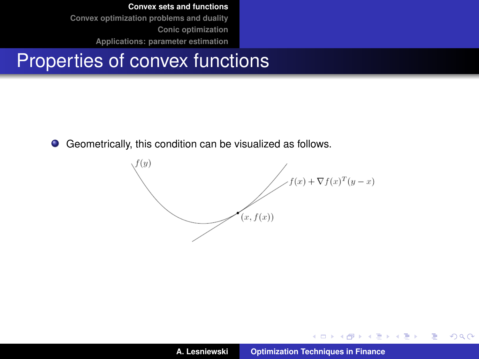### Properties of convex functions

Geometrically, this condition can be visualized as follows.  $\bullet$ 



イロメ イ部メ イヨメ イヨメー

重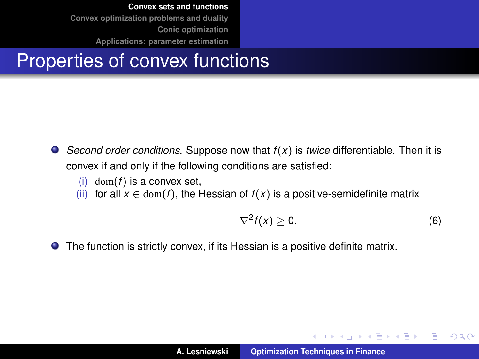## Properties of convex functions

- *Second order conditions.* Suppose now that *f* (*x*) is *twice* differentiable. Then it is convex if and only if the following conditions are satisfied:
	- (i) dom( $f$ ) is a convex set,
	- (ii) for all  $x \in \text{dom}(f)$ , the Hessian of  $f(x)$  is a positive-semidefinite matrix

$$
\nabla^2 f(x) \ge 0. \tag{6}
$$

イロメ イ部メ イヨメ イヨメー

重

 $2Q$ 

The function is strictly convex, if its Hessian is a positive definite matrix.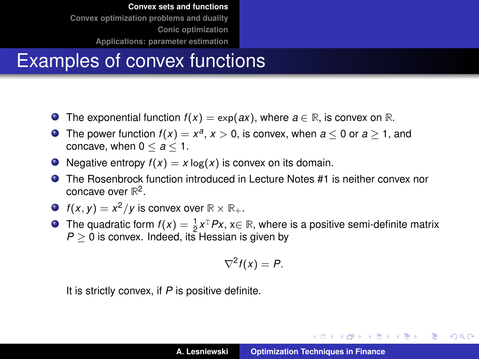# Examples of convex functions

- **■** The exponential function  $f(x) = \exp(ax)$ , where  $a \in \mathbb{R}$ , is convex on  $\mathbb{R}$ .
- The power function  $f(x) = x^a$ ,  $x > 0$ , is convex, when  $a \le 0$  or  $a \ge 1$ , and concave, when  $0 \le a \le 1$ .
- $\bullet$  Negative entropy  $f(x) = x \log(x)$  is convex on its domain.
- The Rosenbrock function introduced in Lecture Notes #1 is neither convex nor concave over **R** 2 .
- $f(x, y) = x^2/y$  is convex over  $\mathbb{R} \times \mathbb{R}_+$ .
- The quadratic form  $f(x) = \frac{1}{2}x^T P x$ ,  $x \in \mathbb{R}$ , where is a positive semi-definite matrix  $P \geq 0$  is convex. Indeed, its Hessian is given by

$$
\nabla^2 f(x) = P.
$$

It is strictly convex, if *P* is positive definite.

K ロ ⊁ K 伊 ⊁ K 君 ⊁ K 君 ⊁ …

重  $2Q$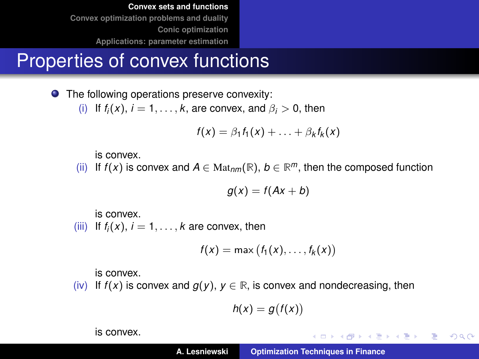## Properties of convex functions

● The following operations preserve convexity: (i) If  $f_i(x)$ ,  $i = 1, \ldots, k$ , are convex, and  $\beta_i > 0$ , then

$$
f(x) = \beta_1 f_1(x) + \ldots + \beta_k f_k(x)
$$

is convex.

(ii) If *f*(*x*) is convex and *A* ∈ Mat<sub>*nm*</sub>( $\mathbb{R}$ ), *b* ∈  $\mathbb{R}^m$ , then the composed function

$$
g(x) = f(Ax + b)
$$

is convex.

(iii) If  $f_i(x)$ ,  $i = 1, \ldots, k$  are convex, then

$$
f(x) = \max (f_1(x), \ldots, f_k(x))
$$

is convex.

(iv) If  $f(x)$  is convex and  $g(y)$ ,  $y \in \mathbb{R}$ , is convex and nondecreasing, then

$$
h(x)=g\big(f(x)\big)
$$

is convex.

K ロ ⊁ K 伊 ⊁ K 君 ⊁ K 君 ⊁ …

■ 1  $299$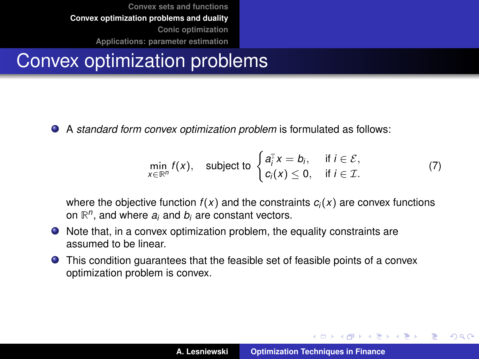# <span id="page-18-0"></span>Convex optimization problems

A *standard form convex optimization problem* is formulated as follows:

<span id="page-18-1"></span>
$$
\min_{x \in \mathbb{R}^n} f(x), \quad \text{subject to } \begin{cases} a_i^{\mathrm{T}} x = b_i, & \text{if } i \in \mathcal{E}, \\ c_i(x) \le 0, & \text{if } i \in \mathcal{I}. \end{cases} \tag{7}
$$

where the objective function  $f(x)$  and the constraints  $c_i(x)$  are convex functions on **R** *n* , and where *a<sup>i</sup>* and *b<sup>i</sup>* are constant vectors.

- Note that, in a convex optimization problem, the equality constraints are assumed to be linear.
- This condition guarantees that the feasible set of feasible points of a convex optimization problem is convex.

イロメ イ団メ イヨメ イヨメー

重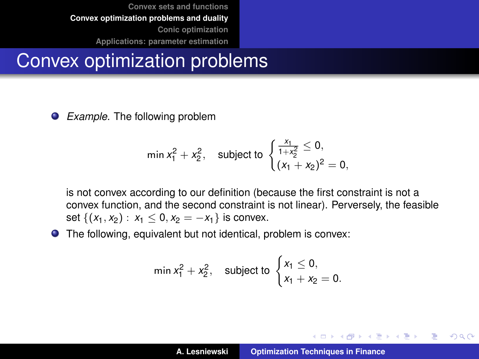## Convex optimization problems

*Example*. The following problem

$$
\min x_1^2 + x_2^2, \quad \text{subject to } \begin{cases} \frac{x_1}{1+x_2^2} \le 0, \\ (x_1 + x_2)^2 = 0, \end{cases}
$$

is not convex according to our definition (because the first constraint is not a convex function, and the second constraint is not linear). Perversely, the feasible set  $\{(x_1, x_2) : x_1 \leq 0, x_2 = -x_1\}$  is convex.

The following, equivalent but not identical, problem is convex:

$$
\min x_1^2 + x_2^2, \quad \text{subject to } \begin{cases} x_1 \le 0, \\ x_1 + x_2 = 0. \end{cases}
$$

イロメ イ部メ イヨメ イヨメー

 $299$ 

Þ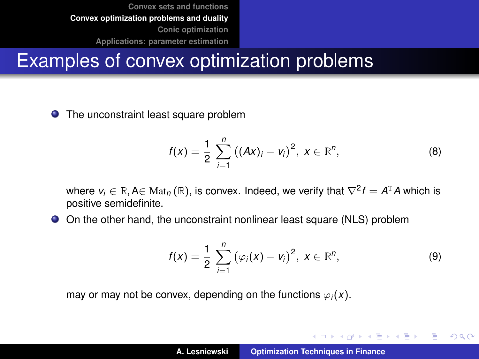## Examples of convex optimization problems

#### **O** The unconstraint least square problem

$$
f(x) = \frac{1}{2} \sum_{i=1}^{n} ((Ax)_i - v_i)^2, x \in \mathbb{R}^n,
$$
 (8)

where  $v_i \in \mathbb{R}$ , A $\in$  Mat<sub>n</sub> ( $\mathbb{R}$ ), is convex. Indeed, we verify that  $\nabla^2 f = A^T A$  which is positive semidefinite.

On the other hand, the unconstraint nonlinear least square (NLS) problem

$$
f(x) = \frac{1}{2} \sum_{i=1}^{n} (\varphi_i(x) - v_i)^2, \ x \in \mathbb{R}^n,
$$
 (9)

K ロ ⊁ K 伊 ⊁ K 君 ⊁ K 君 ⊁ …

 $299$ 

重

may or may not be convex, depending on the functions  $\varphi_i(x)$ .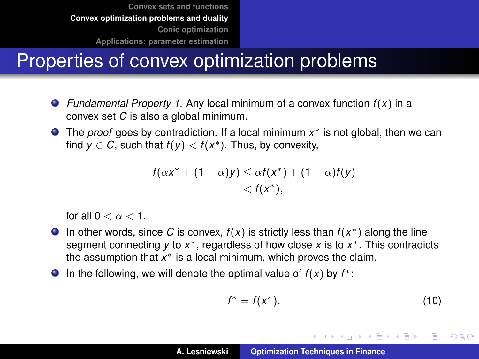# Properties of convex optimization problems

- *Fundamental Property 1.* Any local minimum of a convex function *f* (*x*) in a convex set *C* is also a global minimum.
- The *proof* goes by contradiction. If a local minimum x<sup>\*</sup> is not global, then we can find  $y \in C$ , such that  $f(y) < f(x^*)$ . Thus, by convexity,

$$
f(\alpha x^* + (1 - \alpha)y) \leq \alpha f(x^*) + (1 - \alpha)f(y)
$$
  
<  $f(x^*),$ 

for all  $0 < \alpha < 1$ .

- In other words, since C is convex,  $f(x)$  is strictly less than  $f(x^*)$  along the line segment connecting *y* to *x*<sup>\*</sup>, regardless of how close *x* is to *x*<sup>\*</sup>. This contradicts the assumption that x<sup>\*</sup> is a local minimum, which proves the claim.
- In the following, we will denote the optimal value of  $f(x)$  by  $f^*$ :

$$
f^* = f(x^*). \tag{10}
$$

イロメ イ団メ イヨメ イヨメー

B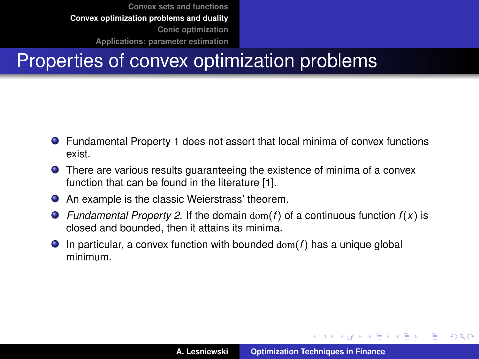# Properties of convex optimization problems

- Fundamental Property 1 does not assert that local minima of convex functions exist.
- **•** There are various results guaranteeing the existence of minima of a convex function that can be found in the literature [\[1\]](#page-72-1).
- An example is the classic Weierstrass' theorem.
- **•** Fundamental Property 2. If the domain dom(*f*) of a continuous function  $f(x)$  is closed and bounded, then it attains its minima.
- $\bullet$  In particular, a convex function with bounded  $dom(f)$  has a unique global minimum.

イロメ イ部メ イヨメ イヨメー

 $QQ$ 

Þ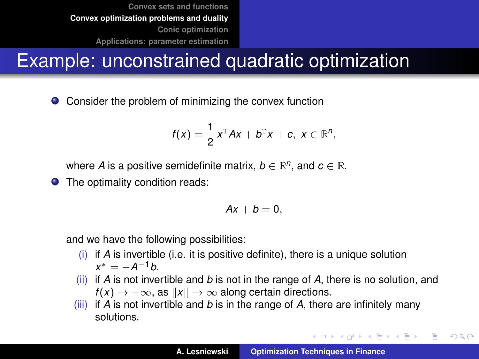# Example: unconstrained quadratic optimization

Consider the problem of minimizing the convex function  $\bullet$ 

$$
f(x)=\frac{1}{2}x^{\mathrm{T}}Ax+b^{\mathrm{T}}x+c, x\in\mathbb{R}^n,
$$

where *A* is a positive semidefinite matrix,  $b \in \mathbb{R}^n$ , and  $c \in \mathbb{R}$ .

**•** The optimality condition reads:

$$
Ax+b=0,
$$

and we have the following possibilities:

- (i) if *A* is invertible (i.e. it is positive definite), there is a unique solution  $x^* = -A^{-1}b$ .
- (ii) if *A* is not invertible and *b* is not in the range of *A*, there is no solution, and  $f(x) \rightarrow -\infty$ , as  $||x|| \rightarrow \infty$  along certain directions.
- (iii) if *A* is not invertible and *b* is in the range of *A*, there are infinitely many solutions.

イロメ イ部メ イヨメ イヨメー

Þ  $QQQ$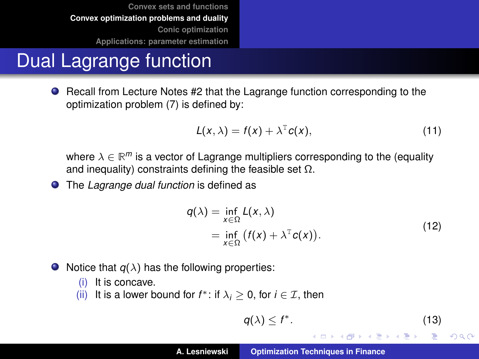# Dual Lagrange function

**•** Recall from Lecture Notes #2 that the Lagrange function corresponding to the optimization problem [\(7\)](#page-18-1) is defined by:

$$
L(x, \lambda) = f(x) + \lambda^{T} c(x), \qquad (11)
$$

where  $\lambda \in \mathbb{R}^m$  is a vector of Lagrange multipliers corresponding to the (equality and inequality) constraints defining the feasible set  $\Omega$ .

The *Lagrange dual function* is defined as

$$
q(\lambda) = \inf_{x \in \Omega} L(x, \lambda)
$$
  
= 
$$
\inf_{x \in \Omega} (f(x) + \lambda^{\mathrm{T}} c(x)).
$$
 (12)

- Notice that  $q(\lambda)$  has the following properties:
	- (i) It is concave.
	- (ii) It is a lower bound for  $f^*$ : if  $\lambda_i \geq 0$ , for  $i \in \mathcal{I}$ , then

$$
q(\lambda) \le f^*.\tag{13}
$$

K ロ ⊁ K 伊 ⊁ K 君 ⊁ K 君 ⊁ …

 $299$ ミー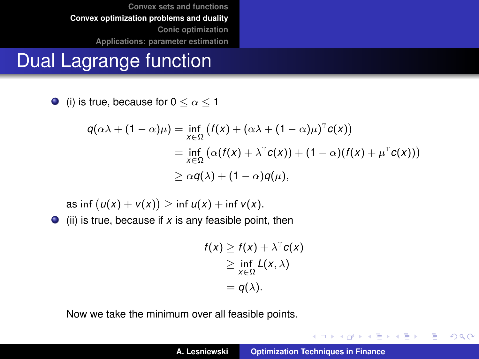## Dual Lagrange function

 $\bullet$  (i) is true, because for  $0 \leq \alpha \leq 1$ 

$$
q(\alpha\lambda + (1-\alpha)\mu) = \inf_{x \in \Omega} (f(x) + (\alpha\lambda + (1-\alpha)\mu)^T c(x))
$$
  
= 
$$
\inf_{x \in \Omega} (\alpha(f(x) + \lambda^T c(x)) + (1-\alpha)(f(x) + \mu^T c(x)))
$$
  

$$
\geq \alpha q(\lambda) + (1-\alpha)q(\mu),
$$

as inf  $(u(x) + v(x)) \ge \inf u(x) + \inf v(x)$ .  $\bullet$  (ii) is true, because if *x* is any feasible point, then

$$
f(x) \geq f(x) + \lambda^{\mathsf{T}} c(x)
$$
  
\n
$$
\geq \inf_{x \in \Omega} L(x, \lambda)
$$
  
\n
$$
= q(\lambda).
$$

Now we take the minimum over all feasible points.

イロトメ 御 トメ 君 トメ 君 トー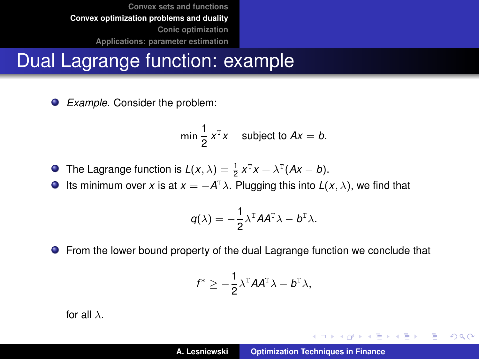## Dual Lagrange function: example

 $\bullet$ *Example.* Consider the problem:

$$
\min \frac{1}{2} x^{\mathsf{T}} x \quad \text{subject to } Ax = b.
$$

- The Lagrange function is  $L(x, \lambda) = \frac{1}{2} x^{T}x + \lambda^{T}(Ax b)$ .
- Its minimum over *x* is at  $x = -A^T \lambda$ . Plugging this into  $L(x, \lambda)$ , we find that  $\bullet$

$$
q(\lambda) = -\frac{1}{2}\lambda^{\mathrm{T}}A A^{\mathrm{T}}\lambda - b^{\mathrm{T}}\lambda.
$$

From the lower bound property of the dual Lagrange function we conclude that

$$
f^* \geq -\frac{1}{2}\lambda^{\mathrm{T}} A A^{\mathrm{T}} \lambda - b^{\mathrm{T}} \lambda,
$$

for all  $\lambda$ .

イロトメ 御 トメ 君 トメ 君 トー

 $299$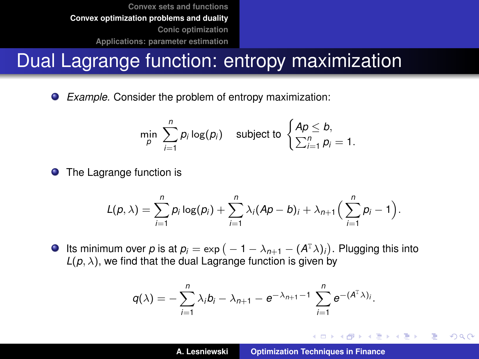## Dual Lagrange function: entropy maximization

 $\bullet$ *Example.* Consider the problem of entropy maximization:

$$
\min_{p} \sum_{i=1}^{n} p_i \log(p_i) \quad \text{subject to } \begin{cases} Ap \leq b, \\ \sum_{i=1}^{n} p_i = 1. \end{cases}
$$

 $\bullet$ The Lagrange function is

$$
L(p,\lambda)=\sum_{i=1}^n p_i \log(p_i)+\sum_{i=1}^n \lambda_i (Ap-b)_i+\lambda_{n+1}\Big(\sum_{i=1}^n p_i-1\Big).
$$

Its minimum over  $p$  is at  $p_i = \exp(-1 - \lambda_{n+1} - (A^T\lambda)_i)$ . Plugging this into  $L(p, \lambda)$ , we find that the dual Lagrange function is given by

$$
q(\lambda)=-\sum_{i=1}^n\lambda_i b_i-\lambda_{n+1}-e^{-\lambda_{n+1}-1}\sum_{i=1}^n e^{-(A^T\lambda)_i}.
$$

イロメ イ部メ イ君メ イ君メー

 $299$ 

造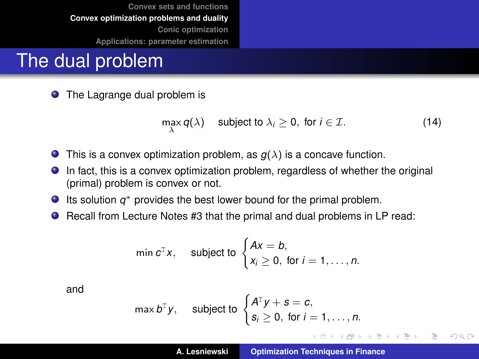### The dual problem

 $\bullet$ The Lagrange dual problem is

$$
\max_{\lambda} q(\lambda) \quad \text{subject to } \lambda_i \geq 0, \text{ for } i \in \mathcal{I}. \tag{14}
$$

- $\bullet$ This is a convex optimization problem, as  $g(\lambda)$  is a concave function.
- In fact, this is a convex optimization problem, regardless of whether the original  $\bullet$ (primal) problem is convex or not.
- Its solution *q* <sup>∗</sup> provides the best lower bound for the primal problem.
- Recall from Lecture Notes #3 that the primal and dual problems in LP read:

$$
\min c^{T} x, \quad \text{subject to } \begin{cases} Ax = b, \\ x_{i} \geq 0, \text{ for } i = 1, \ldots, n. \end{cases}
$$

and

$$
\max b^{\mathrm{T}}y, \quad \text{ subject to } \begin{cases} A^{\mathrm{T}}y + s = c, \\ s_i \geq 0, \text{ for } i = 1, \ldots, n. \end{cases}
$$

イロメ イ部メ イヨメ イヨメー

重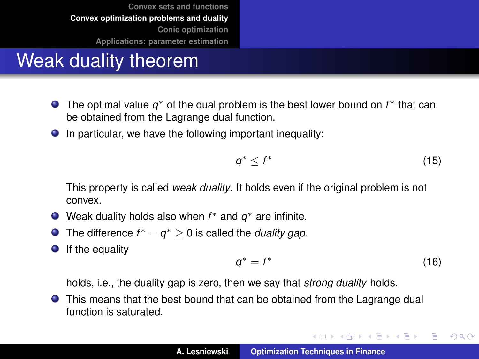## Weak duality theorem

- The optimal value q<sup>\*</sup> of the dual problem is the best lower bound on *f*<sup>\*</sup> that can be obtained from the Lagrange dual function.
- $\bullet$  In particular, we have the following important inequality:

$$
q^* \leq f^* \tag{15}
$$

This property is called *weak duality*. It holds even if the original problem is not convex.

- Weak duality holds also when *f* <sup>∗</sup> and *q* <sup>∗</sup> are infinite.
- The difference  $f^* q^* \geq 0$  is called the *duality gap*.  $\bullet$
- $\bullet$ If the equality

$$
q^* = f^* \tag{16}
$$

イロメ イ部メ イヨメ イヨメー

 $299$ 

重

holds, i.e., the duality gap is zero, then we say that *strong duality* holds.

**•** This means that the best bound that can be obtained from the Lagrange dual function is saturated.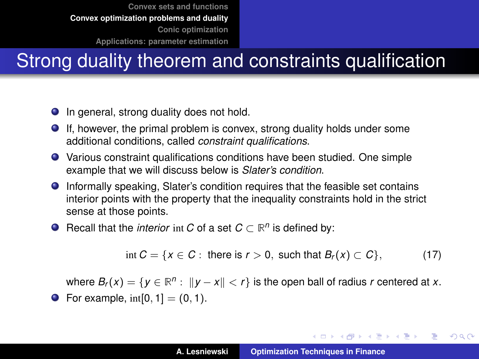# Strong duality theorem and constraints qualification

- **In general, strong duality does not hold.**
- If, however, the primal problem is convex, strong duality holds under some additional conditions, called *constraint qualifications*.
- Various constraint qualifications conditions have been studied. One simple example that we will discuss below is *Slater's condition*.
- Informally speaking, Slater's condition requires that the feasible set contains interior points with the property that the inequality constraints hold in the strict sense at those points.
- Recall that the *interior* int *C* of a set  $C \subset \mathbb{R}^n$  is defined by:

$$
\text{int } C = \{x \in C : \text{ there is } r > 0, \text{ such that } B_r(x) \subset C\},\tag{17}
$$

where  $B_r(x) = \{y \in \mathbb{R}^n : ||y - x|| < r\}$  is the open ball of radius *r* centered at *x*. • For example,  $int[0, 1] = (0, 1)$ .

イロト イ母 トイ ヨ トイ ヨ トー ヨー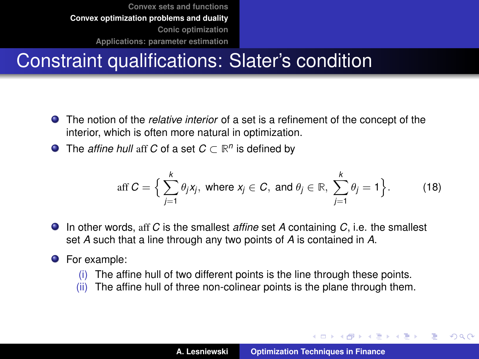## Constraint qualifications: Slater's condition

- The notion of the *relative interior* of a set is a refinement of the concept of the interior, which is often more natural in optimization.
- The *affine hull* aff *C* of a set  $C \subset \mathbb{R}^n$  is defined by

$$
\text{aff } C = \Big\{ \sum_{j=1}^k \theta_j x_j, \text{ where } x_j \in C, \text{ and } \theta_j \in \mathbb{R}, \sum_{j=1}^k \theta_j = 1 \Big\}. \tag{18}
$$

- In other words, aff *C* is the smallest *affine* set *A* containing *C*, i.e. the smallest set *A* such that a line through any two points of *A* is contained in *A*.
- **O** For example:
	- (i) The affine hull of two different points is the line through these points.
	- (ii) The affine hull of three non-colinear points is the plane through them.

イロメ イ部メ イヨメ イヨメー

重  $QQQ$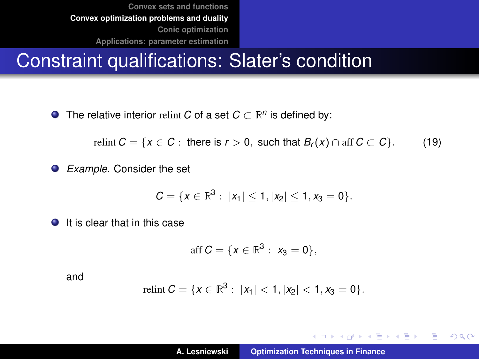### Constraint qualifications: Slater's condition

The relative interior relint *C* of a set  $C \subset \mathbb{R}^n$  is defined by:

relint  $C = \{x \in C : \text{ there is } r > 0, \text{ such that } B_r(x) \cap \text{aff } C \subset C\}.$  (19)

*Example*. Consider the set

$$
C=\{x\in\mathbb{R}^3:\ |x_1|\leq 1, |x_2|\leq 1, x_3=0\}.
$$

**It is clear that in this case** 

$$
\text{aff } C = \{x \in \mathbb{R}^3 : x_3 = 0\},
$$

and

$$
\text{relint } C = \{x \in \mathbb{R}^3 : \ |x_1| < 1, |x_2| < 1, x_3 = 0\}.
$$

イロメ イ団メ イヨメ イヨメー

 $299$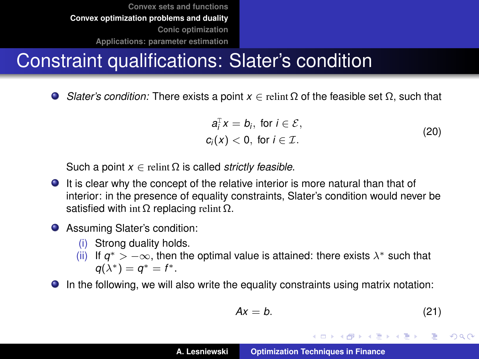## Constraint qualifications: Slater's condition

*Slater's condition:* There exists a point  $x \in$  relint  $\Omega$  of the feasible set  $\Omega$ , such that  $\bullet$ 

$$
a_i^{\mathrm{T}} x = b_i, \text{ for } i \in \mathcal{E},
$$
  

$$
c_i(x) < 0, \text{ for } i \in \mathcal{I}.
$$
 (20)

Such a point  $x \in$  relint  $\Omega$  is called *strictly feasible*.

- It is clear why the concept of the relative interior is more natural than that of interior: in the presence of equality constraints, Slater's condition would never be satisfied with int  $\Omega$  replacing relint  $\Omega$ .
- Assuming Slater's condition:
	- (i) Strong duality holds.
	- (ii) If  $q^*$  >  $-\infty$ , then the optimal value is attained: there exists  $\lambda^*$  such that  $q(\lambda^*) = q^* = f^*.$

In the following, we will also write the equality constraints using matrix notation:

$$
Ax = b. \tag{21}
$$

イロメ イ団メ イヨメ イヨメー

B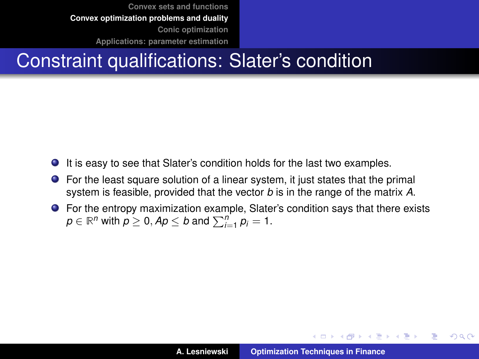## Constraint qualifications: Slater's condition

- It is easy to see that Slater's condition holds for the last two examples.  $\bullet$
- For the least square solution of a linear system, it just states that the primal system is feasible, provided that the vector *b* is in the range of the matrix *A*.
- For the entropy maximization example, Slater's condition says that there exists  $p \in \mathbb{R}^n$  with  $p \geq 0$ ,  $Ap \leq b$  and  $\sum_{i=1}^n p_i = 1$ .

イロメ イ部メ イヨメ イヨメー

Þ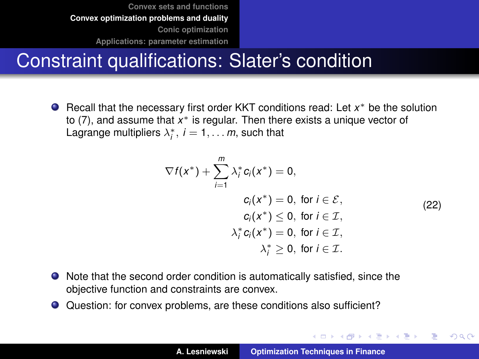## Constraint qualifications: Slater's condition

Recall that the necessary first order KKT conditions read: Let *x* <sup>∗</sup> be the solution to [\(7\)](#page-18-1), and assume that *x* <sup>∗</sup> is regular. Then there exists a unique vector of Lagrange multipliers  $\lambda_i^*$ ,  $i = 1, \ldots m$ , such that

$$
\nabla f(x^*) + \sum_{i=1}^m \lambda_i^* c_i(x^*) = 0,
$$
  
\n
$$
c_i(x^*) = 0, \text{ for } i \in \mathcal{E},
$$
  
\n
$$
c_i(x^*) \le 0, \text{ for } i \in \mathcal{I},
$$
  
\n
$$
\lambda_i^* c_i(x^*) = 0, \text{ for } i \in \mathcal{I},
$$
  
\n
$$
\lambda_i^* \ge 0, \text{ for } i \in \mathcal{I}.
$$
  
\n(22)

イロメ イ部メ イヨメ イヨメー

B

- Note that the second order condition is automatically satisfied, since the objective function and constraints are convex.
- Question: for convex problems, are these conditions also sufficient?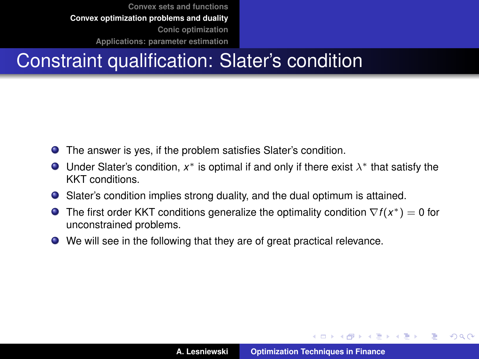# Constraint qualification: Slater's condition

- The answer is yes, if the problem satisfies Slater's condition.
- Under Slater's condition,  $x^*$  is optimal if and only if there exist  $\lambda^*$  that satisfy the KKT conditions.
- Slater's condition implies strong duality, and the dual optimum is attained.
- The first order KKT conditions generalize the optimality condition ∇*f* (*x* <sup>∗</sup>) = 0 for unconstrained problems.
- We will see in the following that they are of great practical relevance.

イロメ イ部メ イ君メ イ君メー

重

 $QQ$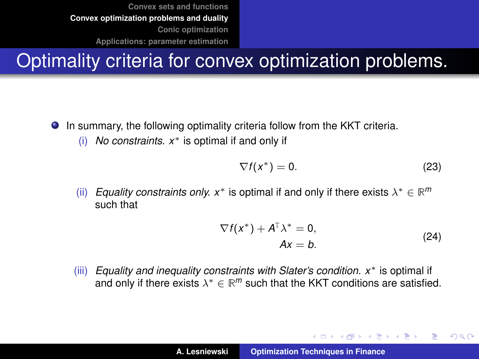# Optimality criteria for convex optimization problems.

**In summary, the following optimality criteria follow from the KKT criteria.** 

(i) *No constraints. x*<sup>∗</sup> is optimal if and only if

$$
\nabla f(x^*) = 0. \tag{23}
$$

(ii) *Equality constraints only.*  $x^*$  is optimal if and only if there exists  $\lambda^* \in \mathbb{R}^m$ such that

$$
\nabla f(x^*) + A^{\mathrm{T}} \lambda^* = 0,
$$
  
 
$$
Ax = b.
$$
 (24)

イロメ イ部メ イヨメ イヨメー

Þ  $QQQ$ 

(iii) *Equality and inequality constraints with Slater's condition. x*<sup>∗</sup> is optimal if and only if there exists  $\lambda^* \in \mathbb{R}^m$  such that the KKT conditions are satisfied.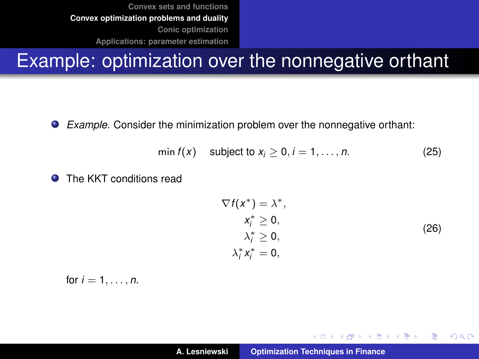#### Example: optimization over the nonnegative orthant

 $\bullet$ *Example.* Consider the minimization problem over the nonnegative orthant:

$$
\min f(x) \quad \text{subject to } x_i \geq 0, i = 1, \ldots, n. \tag{25}
$$

 $\blacksquare$ The KKT conditions read

$$
\nabla f(x^*) = \lambda^*,
$$
  
\n
$$
x_i^* \ge 0,
$$
  
\n
$$
\lambda_i^* \ge 0,
$$
  
\n
$$
\lambda_i^* x_i^* = 0,
$$
  
\n(26)

イロメ イ団メ イヨメ イヨメー

 $2Q$ 

重

for  $i = 1, ..., n$ .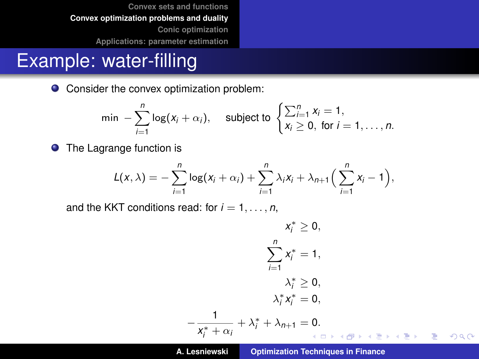#### Example: water-filling

● Consider the convex optimization problem:

$$
\min -\sum_{i=1}^n \log(x_i + \alpha_i), \quad \text{subject to } \begin{cases} \sum_{i=1}^n x_i = 1, \\ x_i \geq 0, \text{ for } i = 1, \dots, n. \end{cases}
$$

**•** The Lagrange function is

$$
L(x,\lambda)=-\sum_{i=1}^n\log(x_i+\alpha_i)+\sum_{i=1}^n\lambda_ix_i+\lambda_{n+1}\Big(\sum_{i=1}^nx_i-1\Big),
$$

and the KKT conditions read: for  $i = 1, \ldots, n$ ,

−

$$
x_i^* \geq 0,
$$
  

$$
\sum_{i=1}^n x_i^* = 1,
$$
  

$$
\lambda_i^* \geq 0,
$$
  

$$
\lambda_i^* x_i^* = 0,
$$
  

$$
\frac{1}{x_i^* + \alpha_i} + \lambda_i^* + \lambda_{n+1} = 0.
$$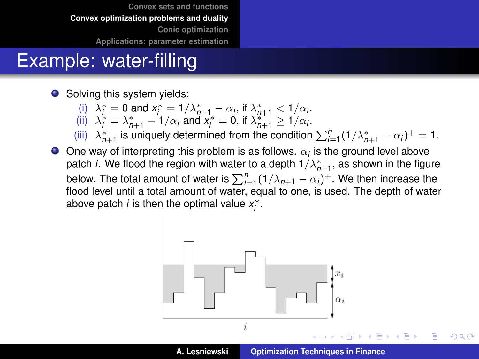### Example: water-filling

● Solving this system yields:

- (i)  $\lambda_i^* = 0$  and  $x_i^* = 1/\lambda_{n+1}^* \alpha_i$ , if  $\lambda_{n+1}^* < 1/\alpha_i$ .
- (ii)  $\lambda_i^* = \lambda_{n+1}^* 1/\alpha_i$  and  $x_i^* = 0$ , if  $\lambda_{n+1}^* \ge 1/\alpha_i$ .

(iii)  $\lambda_{n+1}^*$  is uniquely determined from the condition  $\sum_{i=1}^n (1/\lambda_{n+1}^* - \alpha_i)^+ = 1$ .

One way of interpreting this problem is as follows.  $\alpha_i$  is the ground level above patch *i*. We flood the region with water to a depth  $1/\lambda^*_{n+1}$ , as shown in the figure below. The total amount of water is  $\sum_{i=1}^{n} (1/\lambda_{n+1} - \alpha_i)^+$ . We then increase the flood level until a total amount of water, equal to one, is used. The depth of water above patch *i* is then the optimal value  $x_i^*$ .

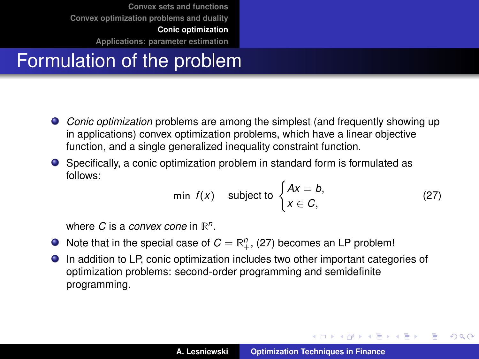<span id="page-41-0"></span>**[Convex sets and functions](#page-2-0) [Convex optimization problems and duality](#page-18-0) [Conic optimization](#page-41-0)**

**[Applications: parameter estimation](#page-47-0)**

# Formulation of the problem

- *Conic optimization* problems are among the simplest (and frequently showing up in applications) convex optimization problems, which have a linear objective function, and a single generalized inequality constraint function.
- Specifically, a conic optimization problem in standard form is formulated as follows:

<span id="page-41-1"></span>
$$
\min f(x) \quad \text{subject to } \begin{cases} Ax = b, \\ x \in C, \end{cases}
$$
 (27)

イロメ イ団メ イヨメ イヨメー

 $299$ 

÷.

where *C* is a *convex cone* in **R** *n* .

- Note that in the special case of  $C = \mathbb{R}^n_+$ , [\(27\)](#page-41-1) becomes an LP problem!
- In addition to LP, conic optimization includes two other important categories of optimization problems: second-order programming and semidefinite programming.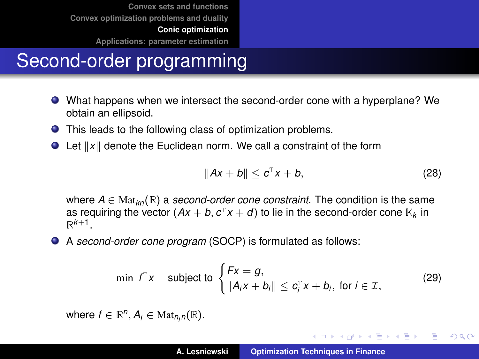**[Convex sets and functions](#page-2-0) [Convex optimization problems and duality](#page-18-0) [Conic optimization](#page-41-0)**

**[Applications: parameter estimation](#page-47-0)**

# Second-order programming

- What happens when we intersect the second-order cone with a hyperplane? We obtain an ellipsoid.
- This leads to the following class of optimization problems.
- $\bullet$  Let  $||x||$  denote the Euclidean norm. We call a constraint of the form

$$
||Ax + b|| \leq c^{\mathrm{T}}x + b, \tag{28}
$$

イロメ イ団メ イヨメ イヨメー

重

 $298$ 

where  $A \in \text{Mat}_{k,n}(\mathbb{R})$  a *second-order cone constraint*. The condition is the same as requiring the vector  $(Ax + b, c^T x + d)$  to lie in the second-order cone  $\mathbb{K}_k$  in  $\mathbb{R}^{k+1}$ .

A *second-order cone program* (SOCP) is formulated as follows:

$$
\min f^{\mathsf{T}} x \quad \text{subject to } \begin{cases} Fx = g, \\ \|A_ix + b_i\| \le c_i^{\mathsf{T}} x + b_i, \text{ for } i \in \mathcal{I}, \end{cases} \tag{29}
$$

 $\mathsf{where} \; f \in \mathbb{R}^n, \mathcal{A}_i \in \mathrm{Mat}_{n_i n}(\mathbb{R}).$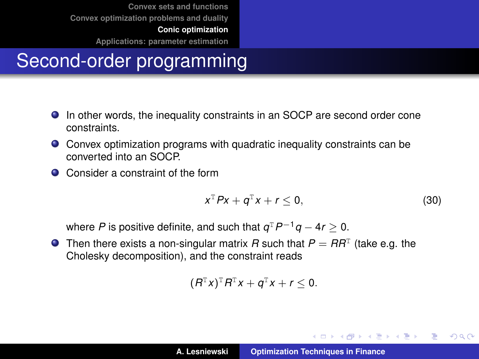**[Convex sets and functions](#page-2-0) [Convex optimization problems and duality](#page-18-0)**

**[Conic optimization](#page-41-0)**

**[Applications: parameter estimation](#page-47-0)**

# Second-order programming

- In other words, the inequality constraints in an SOCP are second order cone constraints.
- Convex optimization programs with quadratic inequality constraints can be converted into an SOCP.
- Consider a constraint of the form

<span id="page-43-0"></span>
$$
x^{\mathrm{T}} P x + q^{\mathrm{T}} x + r \leq 0, \qquad (30)
$$

イロメ イ団メ イヨメ イヨメー

重

 $298$ 

where *P* is positive definite, and such that *q* <sup>T</sup>*P*−1*q* − 4*r* ≥ 0.

Then there exists a non-singular matrix  $R$  such that  $P = RR<sup>T</sup>$  (take e.g. the Cholesky decomposition), and the constraint reads

$$
(R^{\mathsf{T}}x)^{\mathsf{T}}R^{\mathsf{T}}x+q^{\mathsf{T}}x+r\leq 0.
$$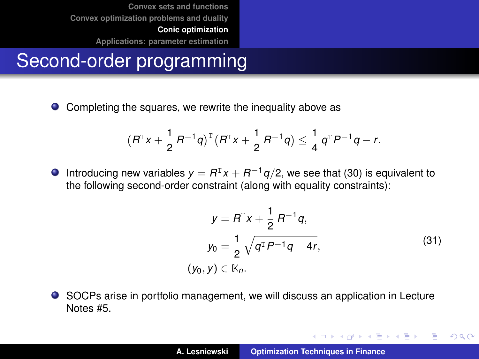**[Convex sets and functions](#page-2-0) [Convex optimization problems and duality](#page-18-0) [Conic optimization](#page-41-0)**

**[Applications: parameter estimation](#page-47-0)**

# Second-order programming

● Completing the squares, we rewrite the inequality above as

$$
(R^{T}x+\frac{1}{2}R^{-1}q)^{T}(R^{T}x+\frac{1}{2}R^{-1}q)\leq \frac{1}{4}q^{T}P^{-1}q-r.
$$

 $\bullet$  Introducing new variables  $y = R^{T}x + R^{-1}q/2$ , we see that [\(30\)](#page-43-0) is equivalent to the following second-order constraint (along with equality constraints):

$$
y = R^{T}x + \frac{1}{2} R^{-1}q,
$$
  
\n
$$
y_0 = \frac{1}{2} \sqrt{q^{T} P^{-1} q - 4r},
$$
  
\n
$$
(y_0, y) \in \mathbb{K}_n.
$$
\n(31)

イロメ イ部メ イヨメ イヨメー

 $299$ 

重

SOCPs arise in portfolio management, we will discuss an application in Lecture Notes #5.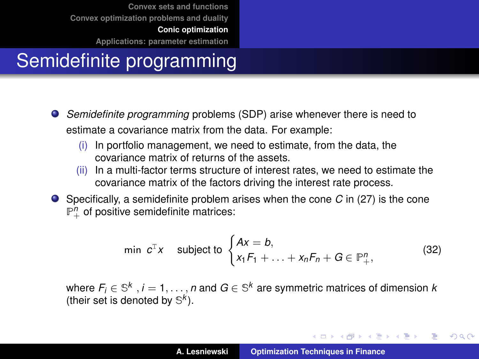**[Convex sets and functions](#page-2-0) [Convex optimization problems and duality](#page-18-0)**

**[Conic optimization](#page-41-0)**

**[Applications: parameter estimation](#page-47-0)**

# Semidefinite programming

- *Semidefinite programming* problems (SDP) arise whenever there is need to estimate a covariance matrix from the data. For example:
	- (i) In portfolio management, we need to estimate, from the data, the covariance matrix of returns of the assets.
	- (ii) In a multi-factor terms structure of interest rates, we need to estimate the covariance matrix of the factors driving the interest rate process.
- Specifically, a semidefinite problem arises when the cone *C* in [\(27\)](#page-41-1) is the cone  $\mathbb{P}^n_+$  of positive semidefinite matrices:

$$
\min \ c^{\mathrm{T}} x \quad \text{subject to } \begin{cases} Ax = b, \\ x_1 F_1 + \ldots + x_n F_n + G \in \mathbb{P}_+^n, \end{cases} \tag{32}
$$

where  $\mathit{F}_i \in \mathbb{S}^k\,$  ,  $i=1,\ldots,n$  and  $\mathit{G} \in \mathbb{S}^k$  are symmetric matrices of dimension  $k$ (their set is denoted by  $\mathbb{S}^k$ ).

イロメ イ団メ イヨメ イヨメー

重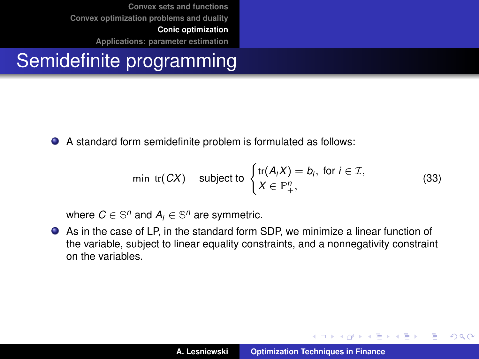**[Convex sets and functions](#page-2-0) [Convex optimization problems and duality](#page-18-0) [Conic optimization](#page-41-0)**

**[Applications: parameter estimation](#page-47-0)**

# Semidefinite programming

A standard form semidefinite problem is formulated as follows:

$$
\min \, \, \text{tr}(CX) \quad \text{subject to } \begin{cases} \text{tr}(A_i X) = b_i, \text{ for } i \in \mathcal{I}, \\ X \in \mathbb{P}^n_+, \end{cases} \tag{33}
$$

where  $C \in \mathbb{S}^n$  and  $A_i \in \mathbb{S}^n$  are symmetric.

As in the case of LP, in the standard form SDP, we minimize a linear function of the variable, subject to linear equality constraints, and a nonnegativity constraint on the variables.

イロメ イ部メ イヨメ イヨメー

 $2Q$ 

重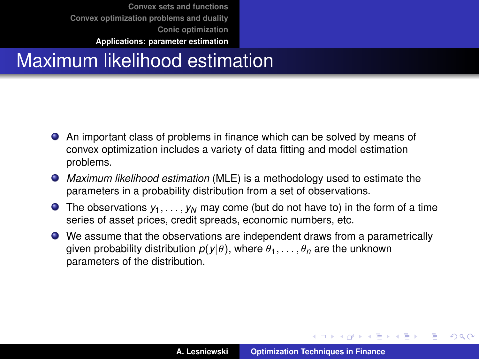# <span id="page-47-0"></span>Maximum likelihood estimation

- An important class of problems in finance which can be solved by means of convex optimization includes a variety of data fitting and model estimation problems.
- *Maximum likelihood estimation* (MLE) is a methodology used to estimate the parameters in a probability distribution from a set of observations.
- **•** The observations  $y_1, \ldots, y_N$  may come (but do not have to) in the form of a time series of asset prices, credit spreads, economic numbers, etc.
- We assume that the observations are independent draws from a parametrically given probability distribution  $p(y|\theta)$ , where  $\theta_1, \ldots, \theta_n$  are the unknown parameters of the distribution.

イロメ イ部メ イヨメ イヨメー

 $299$ 

Þ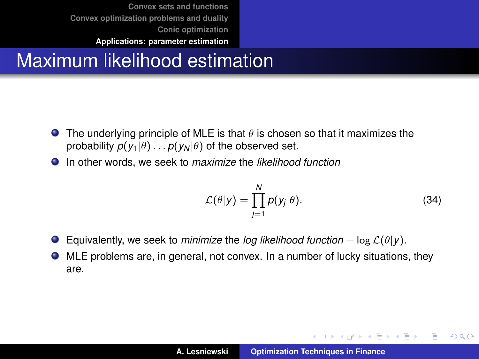# Maximum likelihood estimation

- **The underlying principle of MLE is that**  $\theta$  **is chosen so that it maximizes the** probability  $p(y_1|\theta) \dots p(y_N|\theta)$  of the observed set.
- In other words, we seek to *maximize* the *likelihood function*

$$
\mathcal{L}(\theta|y) = \prod_{j=1}^{N} p(y_j|\theta).
$$
 (34)

イロメ イ団メ イヨメ イヨメー

 $299$ 

重

- $\bullet$ Equivalently, we seek to *minimize* the *log likelihood function*  $-\log \mathcal{L}(\theta|\mathbf{y})$ .
- MLE problems are, in general, not convex. In a number of lucky situations, they are.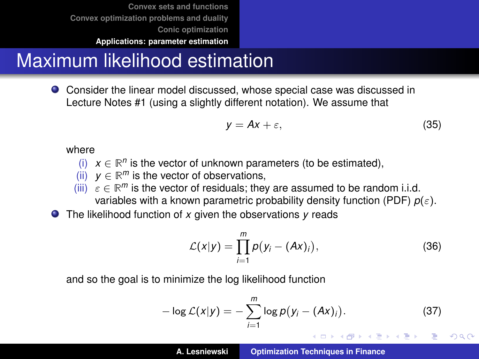**[Convex sets and functions](#page-2-0) [Convex optimization problems and duality](#page-18-0) [Conic optimization](#page-41-0)**

#### **[Applications: parameter estimation](#page-47-0)**

#### Maximum likelihood estimation

Consider the linear model discussed, whose special case was discussed in Lecture Notes #1 (using a slightly different notation). We assume that

$$
y = Ax + \varepsilon, \tag{35}
$$

where

- (i)  $x \in \mathbb{R}^n$  is the vector of unknown parameters (to be estimated),
- (ii)  $y \in \mathbb{R}^m$  is the vector of observations,
- (iii)  $\varepsilon \in \mathbb{R}^m$  is the vector of residuals; they are assumed to be random i.i.d. variables with a known parametric probability density function (PDF)  $p(\varepsilon)$ .
- The likelihood function of *x* given the observations *y* reads

$$
\mathcal{L}(x|y) = \prod_{i=1}^{m} p(y_i - (Ax)_i), \qquad (36)
$$

and so the goal is to minimize the log likelihood function

$$
-\log \mathcal{L}(x|y) = -\sum_{i=1}^{m} \log p(y_i - (Ax)_i).
$$
 (37)

イロメ イ部メ イヨメ イヨメー

Þ  $QQQ$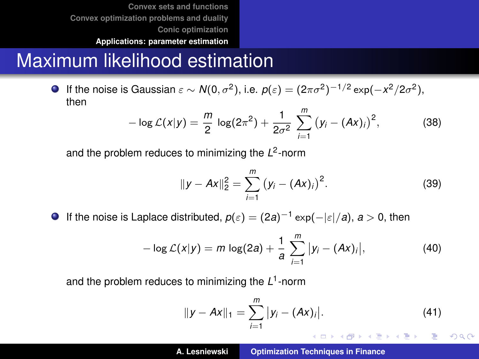#### Maximum likelihood estimation

If the noise is Gaussian  $\varepsilon \sim N(0, \sigma^2)$ , i.e.  $p(\varepsilon) = (2\pi \sigma^2)^{-1/2} \exp(-x^2/2\sigma^2)$ , then

$$
-\log \mathcal{L}(x|y) = \frac{m}{2}\log(2\pi^2) + \frac{1}{2\sigma^2}\sum_{i=1}^{m} (y_i - (Ax)_i)^2,
$$
 (38)

and the problem reduces to minimizing the L<sup>2</sup>-norm

$$
||y - Ax||_2^2 = \sum_{i=1}^m (y_i - (Ax)_i)^2.
$$
 (39)

**If the noise is Laplace distributed,**  $p(\varepsilon) = (2a)^{-1} \exp(-|\varepsilon|/a)$ **,**  $a > 0$ **, then** 

$$
-\log \mathcal{L}(x|y) = m \log(2a) + \frac{1}{a} \sum_{i=1}^{m} |y_i - (Ax)_i|,
$$
 (40)

and the problem reduces to minimizing the *L* 1 -norm

$$
||y - Ax||_1 = \sum_{i=1}^m |y_i - (Ax)_i|.
$$
 (41)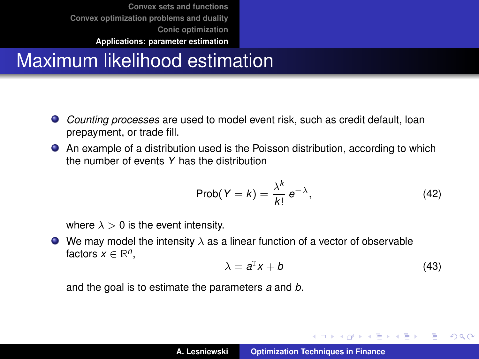# Maximum likelihood estimation

- *Counting processes* are used to model event risk, such as credit default, loan prepayment, or trade fill.
- An example of a distribution used is the Poisson distribution, according to which the number of events *Y* has the distribution

$$
Prob(Y = k) = \frac{\lambda^k}{k!} e^{-\lambda}, \qquad (42)
$$

where  $\lambda > 0$  is the event intensity.

 $\bullet$  We may model the intensity  $\lambda$  as a linear function of a vector of observable factors  $x \in \mathbb{R}^n$ ,

$$
\lambda = a^{\mathrm{T}} x + b \tag{43}
$$

イロメ イ団メ イヨメ イヨメー

 $299$ 

重

and the goal is to estimate the parameters *a* and *b*.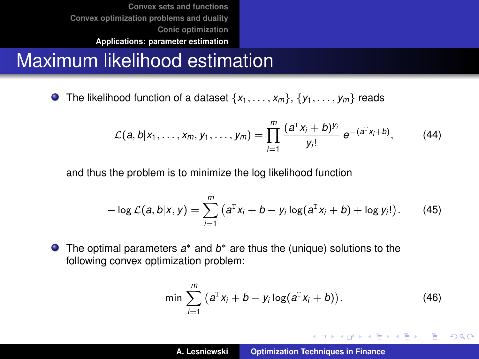#### Maximum likelihood estimation

**O** The likelihood function of a dataset  $\{x_1, \ldots, x_m\}$ ,  $\{y_1, \ldots, y_m\}$  reads

$$
\mathcal{L}(a,b|x_1,\ldots,x_m,y_1,\ldots,y_m)=\prod_{i=1}^m\frac{(a^Tx_i+b)^{y_i}}{y_i!}\,e^{-(a^Tx_i+b)},\qquad(44)
$$

and thus the problem is to minimize the log likelihood function

$$
-\log \mathcal{L}(a,b|x,y) = \sum_{i=1}^{m} (a^{T}x_{i} + b - y_{i}\log(a^{T}x_{i} + b) + \log y_{i}!).
$$
 (45)

The optimal parameters  $a^*$  and  $b^*$  are thus the (unique) solutions to the following convex optimization problem:

$$
\min \sum_{i=1}^{m} (a^{T}x_{i} + b - y_{i} \log(a^{T}x_{i} + b)). \tag{46}
$$

イロメ イ部メ イ君メ イ君メー

 $299$ 目.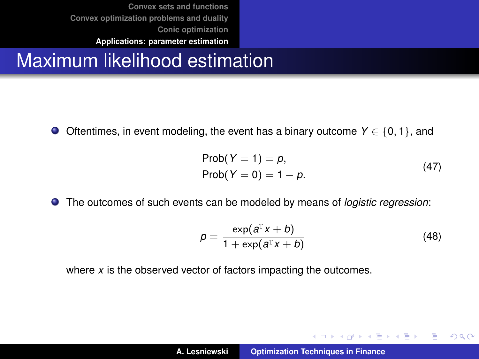## Maximum likelihood estimation

Oftentimes, in event modeling, the event has a binary outcome *Y* ∈ {0, 1}, and

$$
Prob(Y = 1) = p,
$$
  
Prob(Y = 0) = 1 - p. (47)

The outcomes of such events can be modeled by means of *logistic regression*:

$$
p = \frac{\exp(a^{\mathrm{T}}x + b)}{1 + \exp(a^{\mathrm{T}}x + b)}
$$
(48)

イロメ イ部メ イヨメ イヨメー

 $299$ 

重

where *x* is the observed vector of factors impacting the outcomes.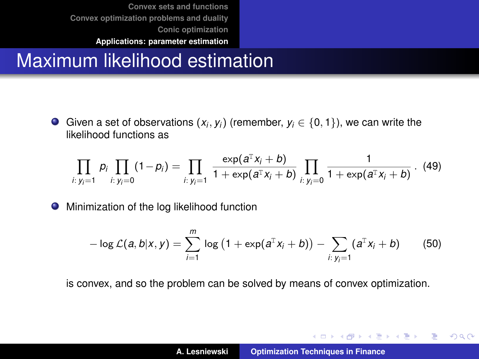### Maximum likelihood estimation

Given a set of observations  $(x_i, y_i)$  (remember,  $y_i \in \{0, 1\}$ ), we can write the likelihood functions as

$$
\prod_{i: y_i=1} p_i \prod_{i: y_i=0} (1-p_i) = \prod_{i: y_i=1} \frac{\exp(a^{\mathrm{T}} x_i + b)}{1 + \exp(a^{\mathrm{T}} x_i + b)} \prod_{i: y_i=0} \frac{1}{1 + \exp(a^{\mathrm{T}} x_i + b)} \ . \tag{49}
$$

**•** Minimization of the log likelihood function

$$
-\log \mathcal{L}(a,b|x,y) = \sum_{i=1}^{m} \log (1 + \exp(a^{T}x_{i} + b)) - \sum_{i: y_{i}=1} (a^{T}x_{i} + b)
$$
(50)

is convex, and so the problem can be solved by means of convex optimization.

K ロ ⊁ K 伊 ⊁ K 君 ⊁ K 君 ⊁ …

 $299$ 

重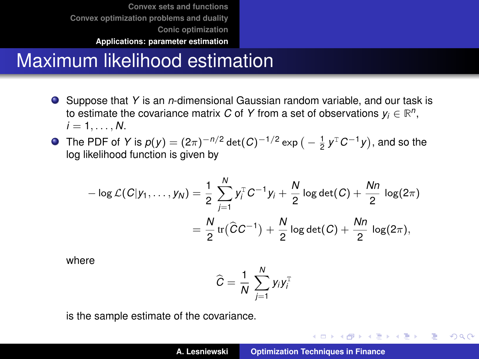#### Maximum likelihood estimation

- Suppose that *Y* is an *n*-dimensional Gaussian random variable, and our task is to estimate the covariance matrix  $C$  of  $Y$  from a set of observations  $y_i \in \mathbb{R}^n$ ,  $i = 1, \ldots, N$ .
- The PDF of *Y* is  $p(y) = (2\pi)^{-n/2} \det(C)^{-1/2} \exp\big(-\frac{1}{2}y^{\mathrm{T}}C^{-1}y\big)$ , and so the log likelihood function is given by

$$
-\log \mathcal{L}(C|y_1,\ldots,y_N) = \frac{1}{2}\sum_{j=1}^N y_j^{\mathrm{T}} C^{-1}y_j + \frac{N}{2}\log \det(C) + \frac{Nn}{2}\log(2\pi)
$$

$$
= \frac{N}{2}\operatorname{tr}(\widehat{C}C^{-1}) + \frac{N}{2}\log \det(C) + \frac{Nn}{2}\log(2\pi),
$$

where

$$
\widehat{C} = \frac{1}{N} \sum_{j=1}^{N} y_i y_i^{\mathrm{T}}
$$

is the sample estimate of the covariance.

イロメ イ部メ イ君メ イ君メー

 $299$ 唐山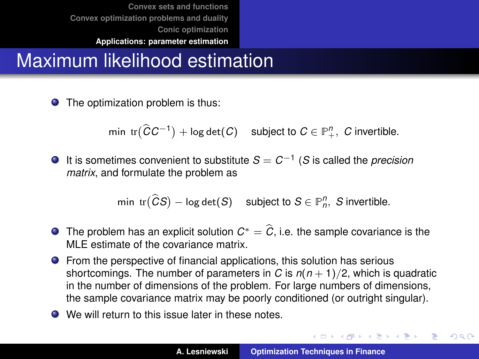# Maximum likelihood estimation

● The optimization problem is thus:

 $\text{min tr}(\widehat{C}C^{-1}) + \log \det(C)$  subject to  $C \in \mathbb{P}^n_+$ , *C* invertible.

It is sometimes convenient to substitute *S* = *C*−<sup>1</sup> (*S* is called the *precision matrix*, and formulate the problem as

$$
\text{min tr}(\widehat{C}S) - \log \det(S) \quad \text{subject to } S \in \mathbb{P}_n^n, \ S \text{ invertible.}
$$

- **■** The problem has an explicit solution  $C^* = \widehat{C}$ , i.e. the sample covariance is the MLE estimate of the covariance matrix.
- **•** From the perspective of financial applications, this solution has serious shortcomings. The number of parameters in *C* is  $n(n + 1)/2$ , which is quadratic in the number of dimensions of the problem. For large numbers of dimensions, the sample covariance matrix may be poorly conditioned (or outright singular).
- We will return to this issue later in these notes.

K ロ ▶ K 御 ▶ K 唐 ▶ K 唐 ▶ 『唐』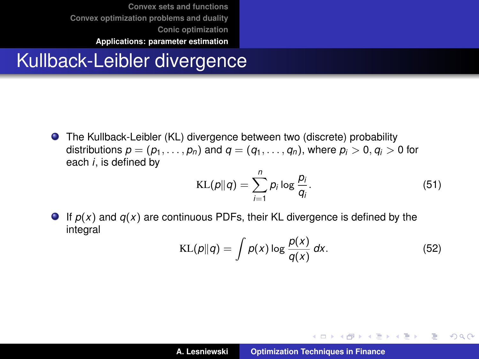## Kullback-Leibler divergence

● The Kullback-Leibler (KL) divergence between two (discrete) probability distributions  $p = (p_1, \ldots, p_n)$  and  $q = (q_1, \ldots, q_n)$ , where  $p_i > 0$ ,  $q_i > 0$  for each *i*, is defined by

$$
KL(p||q) = \sum_{i=1}^{n} p_i \log \frac{p_i}{q_i}.
$$
 (51)

 $\bullet$  If  $p(x)$  and  $q(x)$  are continuous PDFs, their KL divergence is defined by the integral

$$
KL(p||q) = \int p(x) \log \frac{p(x)}{q(x)} dx.
$$
 (52)

K ロ ⊁ K 伊 ⊁ K 君 ⊁ K 君 ⊁ …

 $2990$ 重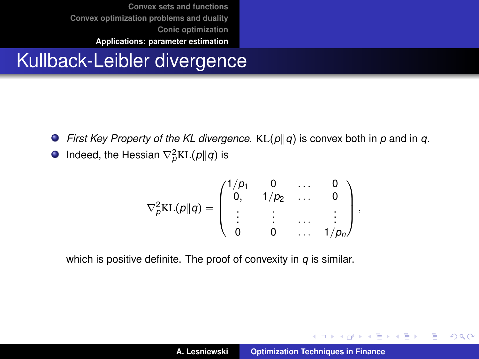## Kullback-Leibler divergence

- **•** First Key Property of the KL divergence.  $KL(p||q)$  is convex both in p and in q.
- Indeed, the Hessian  $\nabla_p^2$ KL $(p||q)$  is

$$
\nabla_{\rho}^{2}KL(\rho||q) = \begin{pmatrix} 1/p_{1} & 0 & \dots & 0 \\ 0 & 1/p_{2} & \dots & 0 \\ \vdots & \vdots & \dots & \vdots \\ 0 & 0 & \dots & 1/p_{n} \end{pmatrix},
$$

which is positive definite. The proof of convexity in *q* is similar.

イロメ イ部メ イヨメ イヨメー

 $299$ 

重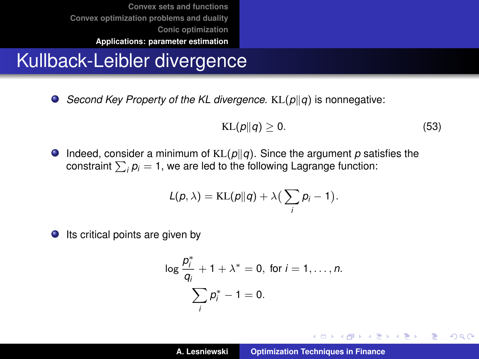## Kullback-Leibler divergence

 $\bullet$  *Second Key Property of the KL divergence.* KL( $p||q$ ) is nonnegative:

<span id="page-59-0"></span>
$$
KL(p||q) \geq 0. \tag{53}
$$

イロメ イ団メ イヨメ イヨメー

重

 $298$ 

**Indeed, consider a minimum of**  $KL(p||q)$ **. Since the argument p satisfies the** constraint  $\sum_i p_i = 1$ , we are led to the following Lagrange function:

$$
L(p,\lambda)=\text{KL}(p||q)+\lambda\big(\sum_i p_i-1\big).
$$

 $\bullet$  Its critical points are given by

$$
\log \frac{p_i^*}{q_i} + 1 + \lambda^* = 0, \text{ for } i = 1, ..., n.
$$
  

$$
\sum_i p_i^* - 1 = 0.
$$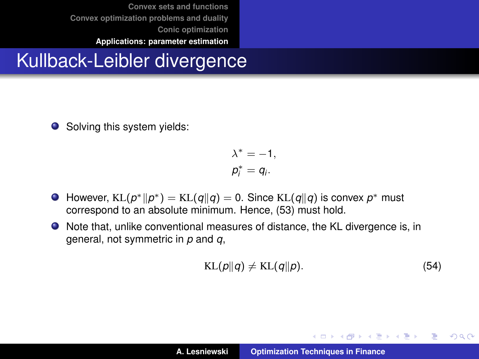### Kullback-Leibler divergence

● Solving this system yields:

$$
\lambda^* = -1,
$$
  

$$
p_i^* = q_i.
$$

- However,  $KL(p^*||p^*) = KL(q||q) = 0$ . Since  $KL(q||q)$  is convex  $p^*$  must correspond to an absolute minimum. Hence, [\(53\)](#page-59-0) must hold.
- Note that, unlike conventional measures of distance, the KL divergence is, in general, not symmetric in *p* and *q*,

$$
KL(p||q) \neq KL(q||p).
$$
 (54)

イロメ イ部メ イ君メ イ君メー

重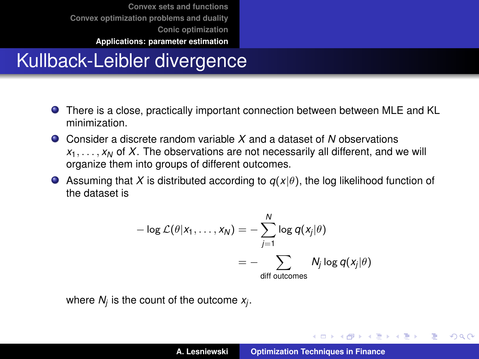**[Convex sets and functions](#page-2-0) [Convex optimization problems and duality](#page-18-0) [Conic optimization](#page-41-0)**

#### **[Applications: parameter estimation](#page-47-0)**

# Kullback-Leibler divergence

- There is a close, practically important connection between between MLE and KL minimization.
- Consider a discrete random variable *X* and a dataset of *N* observations  $x_1, \ldots, x_N$  of X. The observations are not necessarily all different, and we will organize them into groups of different outcomes.
- **Assuming that X** is distributed according to  $q(x|\theta)$ , the log likelihood function of the dataset is

$$
-\log \mathcal{L}(\theta | x_1, \dots, x_N) = -\sum_{j=1}^N \log q(x_j | \theta)
$$

$$
= -\sum_{\text{diff outcomes}} N_j \log q(x_j | \theta)
$$

where *N<sup>j</sup>* is the count of the outcome *x<sup>j</sup>* .

イロメ イ団メ イヨメ イヨメー

重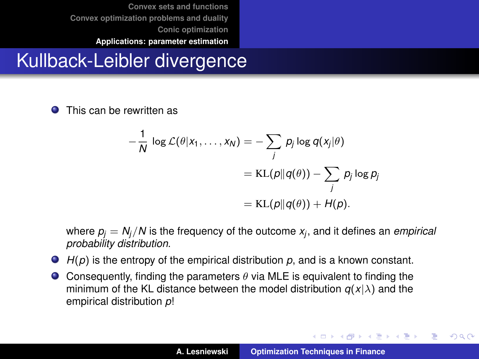# Kullback-Leibler divergence

0 This can be rewritten as

$$
-\frac{1}{N}\log\mathcal{L}(\theta|x_1,\ldots,x_N)=-\sum_j p_j\log q(x_j|\theta)
$$
  
= KL(p||q(\theta)) -  $\sum_j p_j\log p_j$   
= KL(p||q(\theta))+H(p).

where  $\rho_j=N_j/N$  is the frequency of the outcome  $x_j$ , and it defines an *empirical probability distribution*.

- *H*(*p*) is the entropy of the empirical distribution *p*, and is a known constant.
- **Consequently, finding the parameters**  $\theta$  **via MLE is equivalent to finding the** minimum of the KL distance between the model distribution  $q(x|\lambda)$  and the empirical distribution *p*!

イロメ イ部メ イヨメ イヨメー

重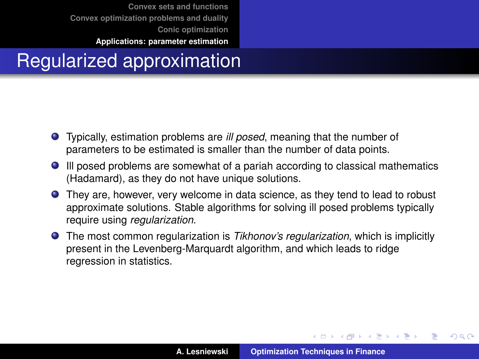# Regularized approximation

- Typically, estimation problems are *ill posed*, meaning that the number of parameters to be estimated is smaller than the number of data points.
- Ill posed problems are somewhat of a pariah according to classical mathematics (Hadamard), as they do not have unique solutions.
- They are, however, very welcome in data science, as they tend to lead to robust approximate solutions. Stable algorithms for solving ill posed problems typically require using *regularization*.
- The most common regularization is *Tikhonov's regularization*, which is implicitly present in the Levenberg-Marquardt algorithm, and which leads to ridge regression in statistics.

イロメ イ部メ イ君メ イ君メー

 $299$ 

Þ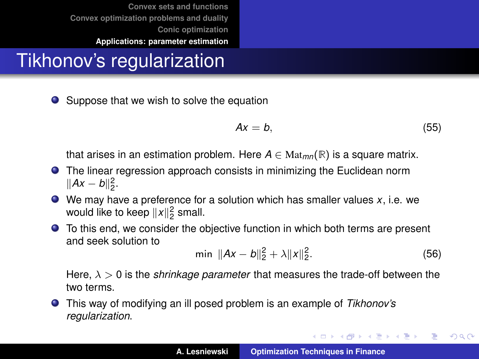# Tikhonov's regularization

● Suppose that we wish to solve the equation

$$
Ax = b,\tag{55}
$$

that arises in an estimation problem. Here  $A \in \text{Mat}_{mn}(\mathbb{R})$  is a square matrix.

- The linear regression approach consists in minimizing the Euclidean norm  $||Ax - b||_2^2$ .
- We may have a preference for a solution which has smaller values *x*, i.e. we would like to keep  $||x||_2^2$  small.
- To this end, we consider the objective function in which both terms are present and seek solution to

$$
\min \|Ax - b\|_2^2 + \lambda \|x\|_2^2. \tag{56}
$$

イロメ イ団メ イヨメ イヨメー

 $299$ 

重

Here,  $\lambda > 0$  is the *shrinkage parameter* that measures the trade-off between the two terms.

This way of modifying an ill posed problem is an example of *Tikhonov's regularization*.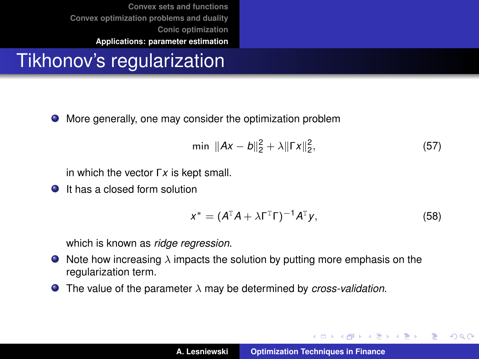# Tikhonov's regularization

More generally, one may consider the optimization problem

$$
\min \|Ax - b\|_2^2 + \lambda \|\Gamma x\|_2^2, \tag{57}
$$

in which the vector Γ*x* is kept small.

**It has a closed form solution** 

$$
x^* = (A^{\mathsf{T}}A + \lambda \Gamma^{\mathsf{T}}\Gamma)^{-1}A^{\mathsf{T}}y,\tag{58}
$$

イロメ イ部メ イヨメ イヨメー

 $299$ 

Þ

which is known as *ridge regression*.

- $\bullet$  Note how increasing  $\lambda$  impacts the solution by putting more emphasis on the regularization term.
- The value of the parameter λ may be determined by *cross-validation*.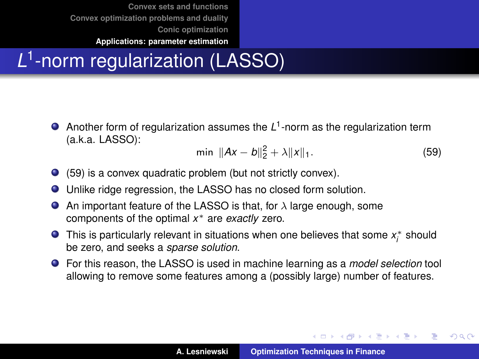# *L* 1 -norm regularization (LASSO)

Another form of regularization assumes the L<sup>1</sup>-norm as the regularization term (a.k.a. LASSO):

<span id="page-66-0"></span>
$$
\min \|Ax - b\|_2^2 + \lambda \|x\|_1. \tag{59}
$$

イロメ イ部メ イヨメ イヨメー

Þ  $QQQ$ 

- [\(59\)](#page-66-0) is a convex quadratic problem (but not strictly convex).
- Unlike ridge regression, the LASSO has no closed form solution.
- An important feature of the LASSO is that, for  $\lambda$  large enough, some  $\bullet$ components of the optimal *x* <sup>∗</sup> are *exactly* zero.
- This is particularly relevant in situations when one believes that some  $x_i^*$  should be zero, and seeks a *sparse solution*.
- For this reason, the LASSO is used in machine learning as a *model selection* tool allowing to remove some features among a (possibly large) number of features.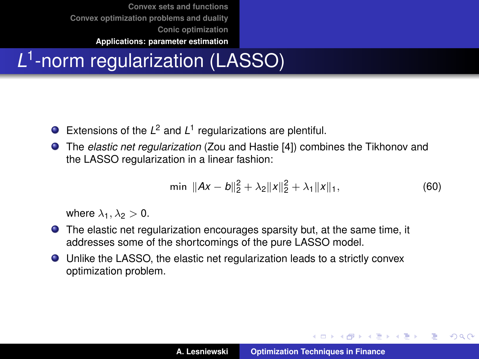# *L* 1 -norm regularization (LASSO)

- Extensions of the  $L^2$  and  $L^1$  regularizations are plentiful.
- The *elastic net regularization* (Zou and Hastie [\[4\]](#page-72-0)) combines the Tikhonov and the LASSO regularization in a linear fashion:

$$
\min \|Ax - b\|_2^2 + \lambda_2 \|x\|_2^2 + \lambda_1 \|x\|_1, \tag{60}
$$

where  $\lambda_1, \lambda_2 > 0$ .

- The elastic net regularization encourages sparsity but, at the same time, it addresses some of the shortcomings of the pure LASSO model.
- Unlike the LASSO, the elastic net regularization leads to a strictly convex optimization problem.

イロメ イ部メ イヨメ イヨメー

 $2Q$ Þ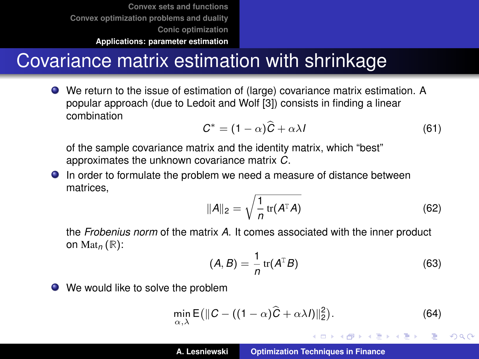## Covariance matrix estimation with shrinkage

We return to the issue of estimation of (large) covariance matrix estimation. A popular approach (due to Ledoit and Wolf [\[3\]](#page-72-1)) consists in finding a linear combination

<span id="page-68-0"></span>
$$
C^* = (1 - \alpha)\widehat{C} + \alpha\lambda I \tag{61}
$$

of the sample covariance matrix and the identity matrix, which "best" approximates the unknown covariance matrix *C*.

In order to formulate the problem we need a measure of distance between matrices,

$$
||A||_2 = \sqrt{\frac{1}{n}\operatorname{tr}(A^{\mathrm{T}}A)}\tag{62}
$$

the *Frobenius norm* of the matrix *A*. It comes associated with the inner product on Mat*<sup>n</sup>* (**R**):

$$
(A, B) = \frac{1}{n} tr(AT B)
$$
 (63)

イロメ イ部メ イヨメ イヨメー

 $QQ$ 

重

● We would like to solve the problem

$$
\min_{\alpha,\lambda} \mathsf{E} \big( \| \mathcal{C} - \big( (1 - \alpha) \widehat{\mathcal{C}} + \alpha \lambda I \big) \|_2^2 \big). \tag{64}
$$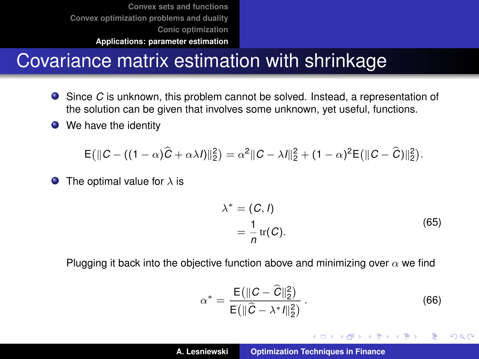#### Covariance matrix estimation with shrinkage

- Since *C* is unknown, this problem cannot be solved. Instead, a representation of the solution can be given that involves some unknown, yet useful, functions.
- We have the identity

$$
\mathsf{E}\big(\|C - \left((1-\alpha)\widehat{C} + \alpha\lambda I\right)\|_2^2\big) = \alpha^2 \|C - \lambda I\|_2^2 + (1-\alpha)^2 \mathsf{E}\big(\|C - \widehat{C}\big)\|_2^2\big).
$$

The optimal value for  $\lambda$  is  $\bullet$ 

$$
\lambda^* = (C, l)
$$
  
=  $\frac{1}{n}$  tr(C). (65)

Plugging it back into the objective function above and minimizing over  $\alpha$  we find

$$
\alpha^* = \frac{\mathsf{E}(\|C - \hat{C}\|_2^2)}{\mathsf{E}(\|\hat{C} - \lambda^* I\|_2^2)}.
$$
 (66)

イロメ イ部メ イヨメ イヨメー

 $QQQ$ 

重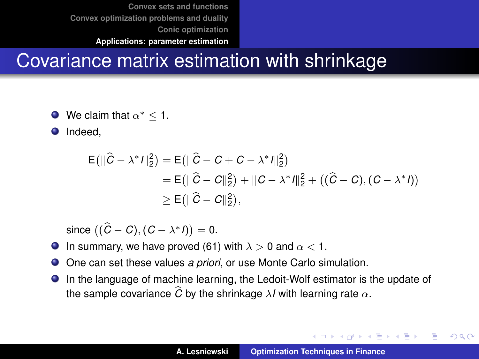# Covariance matrix estimation with shrinkage

- We claim that  $\alpha^* \leq 1$ .
- Indeed,  $\bullet$

$$
E(||\hat{C} - \lambda^* I||_2^2) = E(||\hat{C} - C + C - \lambda^* I||_2^2)
$$
  
= E(||\hat{C} - C||\_2^2) + ||C - \lambda^\* I||\_2^2 + ((\hat{C} - C), (C - \lambda^\* I))  
\ge E(||\hat{C} - C||\_2^2),

since  $((\widehat{C}-C),(C-\lambda^*I))=0.$ 

- **In summary, we have proved [\(61\)](#page-68-0) with**  $\lambda > 0$  **and**  $\alpha < 1$ **.**
- One can set these values *a priori*, or use Monte Carlo simulation.  $\bullet$
- In the language of machine learning, the Ledoit-Wolf estimator is the update of the sample covariance  $\widehat{C}$  by the shrinkage  $\lambda I$  with learning rate  $\alpha$ .

イロメ イ団メ イヨメ イヨメー

 $299$ 

B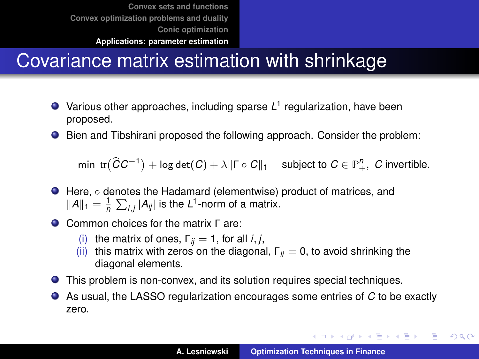# Covariance matrix estimation with shrinkage

- Various other approaches, including sparse L<sup>1</sup> regularization, have been proposed.
- Bien and Tibshirani proposed the following approach. Consider the problem:

 $\min$   $\text{tr}(\widehat{C}C^{-1}) + \log \det(C) + \lambda \|\Gamma \circ C\|_1$  subject to  $C \in \mathbb{P}_+^n$ , *C* invertible.

- Here, denotes the Hadamard (elementwise) product of matrices, and  $||A||_1 = \frac{1}{n} \sum_{i,j} |A_{ij}|$  is the *L*<sup>1</sup>-norm of a matrix.
- Common choices for the matrix Γ are:
	- (i) the matrix of ones,  $\Gamma_{ii} = 1$ , for all *i*, *j*,
	- (ii) this matrix with zeros on the diagonal,  $\Gamma_{ii} = 0$ , to avoid shrinking the diagonal elements.
- This problem is non-convex, and its solution requires special techniques.
- As usual, the LASSO regularization encourages some entries of *C* to be exactly zero.

K ロ ▶ K 御 ▶ K 重 ▶ K 重 ▶ 三重 → 約 Q @